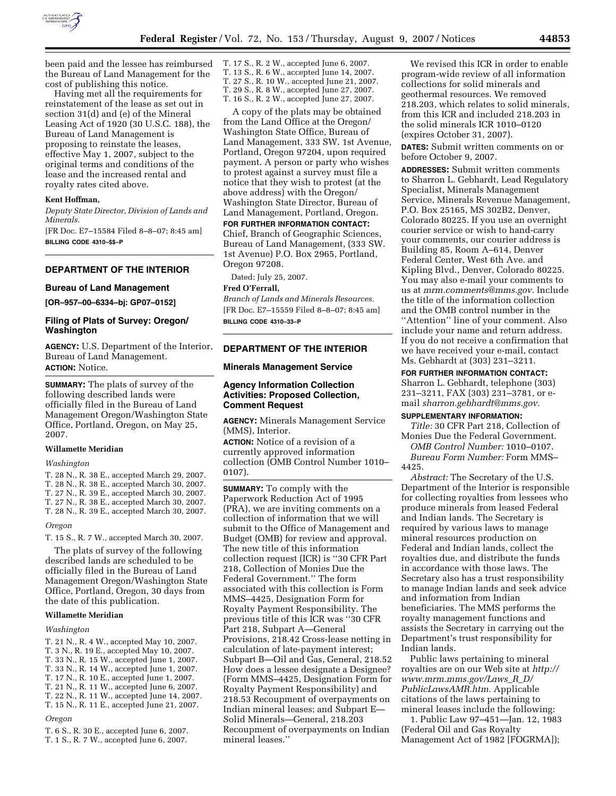

been paid and the lessee has reimbursed the Bureau of Land Management for the cost of publishing this notice.

Having met all the requirements for reinstatement of the lease as set out in section 31(d) and (e) of the Mineral Leasing Act of 1920 (30 U.S.C. 188), the Bureau of Land Management is proposing to reinstate the leases, effective May 1, 2007, subject to the original terms and conditions of the lease and the increased rental and royalty rates cited above.

#### **Kent Hoffman,**

*Deputy State Director, Division of Lands and Minerals.* 

[FR Doc. E7–15584 Filed 8–8–07; 8:45 am] **BILLING CODE 4310–\$\$–P** 

### **DEPARTMENT OF THE INTERIOR**

#### **Bureau of Land Management**

**[OR–957–00–6334–bj: GP07–0152]** 

### **Filing of Plats of Survey: Oregon/ Washington**

**AGENCY:** U.S. Department of the Interior, Bureau of Land Management. **ACTION:** Notice.

**SUMMARY:** The plats of survey of the following described lands were officially filed in the Bureau of Land Management Oregon/Washington State Office, Portland, Oregon, on May 25, 2007.

#### **Willamette Meridian**

#### *Washington*

T. 28 N., R. 38 E., accepted March 29, 2007. T. 28 N., R. 38 E., accepted March 30, 2007. T. 27 N., R. 39 E., accepted March 30, 2007. T. 27 N., R. 38 E., accepted March 30, 2007. T. 28 N., R. 39 E., accepted March 30, 2007.

#### *Oregon*

T. 15 S., R. 7 W., accepted March 30, 2007.

The plats of survey of the following described lands are scheduled to be officially filed in the Bureau of Land Management Oregon/Washington State Office, Portland, Oregon, 30 days from the date of this publication.

### **Willamette Meridian**

#### *Washington*

T. 21 N., R. 4 W., accepted May 10, 2007. T. 3 N., R. 19 E., accepted May 10, 2007. T. 33 N., R. 15 W., accepted June 1, 2007. T. 33 N., R. 14 W., accepted June 1, 2007. T. 17 N., R. 10 E., accepted June 1, 2007. T. 21 N., R. 11 W., accepted June 6, 2007. T. 22 N., R. 11 W., accepted June 14, 2007. T. 15 N., R. 11 E., accepted June 21, 2007.

## *Oregon*

T. 6 S., R. 30 E., accepted June 6, 2007.

T. 1 S., R. 7 W., accepted June 6, 2007.

T. 17 S., R. 2 W., accepted June 6, 2007. T. 13 S., R. 6 W., accepted June 14, 2007. T. 27 S., R. 10 W., accepted June 21, 2007. T. 29 S., R. 8 W., accepted June 27, 2007. T. 16 S., R. 2 W., accepted June 27, 2007.

A copy of the plats may be obtained from the Land Office at the Oregon/ Washington State Office, Bureau of Land Management, 333 SW. 1st Avenue, Portland, Oregon 97204, upon required payment. A person or party who wishes to protest against a survey must file a notice that they wish to protest (at the above address) with the Oregon/ Washington State Director, Bureau of Land Management, Portland, Oregon.

**FOR FURTHER INFORMATION CONTACT:**  Chief, Branch of Geographic Sciences, Bureau of Land Management, (333 SW. 1st Avenue) P.O. Box 2965, Portland, Oregon 97208.

Dated: July 25, 2007.

### **Fred O'Ferrall,**

*Branch of Lands and Minerals Resources.*  [FR Doc. E7–15559 Filed 8–8–07; 8:45 am] **BILLING CODE 4310–33–P** 

## **DEPARTMENT OF THE INTERIOR**

#### **Minerals Management Service**

## **Agency Information Collection Activities: Proposed Collection, Comment Request**

**AGENCY:** Minerals Management Service (MMS), Interior.

**ACTION:** Notice of a revision of a currently approved information collection (OMB Control Number 1010– 0107).

**SUMMARY:** To comply with the Paperwork Reduction Act of 1995 (PRA), we are inviting comments on a collection of information that we will submit to the Office of Management and Budget (OMB) for review and approval. The new title of this information collection request (ICR) is ''30 CFR Part 218, Collection of Monies Due the Federal Government.'' The form associated with this collection is Form MMS–4425, Designation Form for Royalty Payment Responsibility. The previous title of this ICR was ''30 CFR Part 218, Subpart A—General Provisions, 218.42 Cross-lease netting in calculation of late-payment interest; Subpart B—Oil and Gas, General, 218.52 How does a lessee designate a Designee? (Form MMS–4425, Designation Form for Royalty Payment Responsibility) and 218.53 Recoupment of overpayments on Indian mineral leases; and Subpart E— Solid Minerals—General, 218.203 Recoupment of overpayments on Indian mineral leases.''

We revised this ICR in order to enable program-wide review of all information collections for solid minerals and geothermal resources. We removed 218.203, which relates to solid minerals, from this ICR and included 218.203 in the solid minerals ICR 1010–0120 (expires October 31, 2007).

**DATES:** Submit written comments on or before October 9, 2007.

**ADDRESSES:** Submit written comments to Sharron L. Gebhardt, Lead Regulatory Specialist, Minerals Management Service, Minerals Revenue Management, P.O. Box 25165, MS 302B2, Denver, Colorado 80225. If you use an overnight courier service or wish to hand-carry your comments, our courier address is Building 85, Room A–614, Denver Federal Center, West 6th Ave. and Kipling Blvd., Denver, Colorado 80225. You may also e-mail your comments to us at *mrm.comments@mms.gov*. Include the title of the information collection and the OMB control number in the ''Attention'' line of your comment. Also include your name and return address. If you do not receive a confirmation that we have received your e-mail, contact Ms. Gebhardt at (303) 231–3211.

### **FOR FURTHER INFORMATION CONTACT:**

Sharron L. Gebhardt, telephone (303) 231–3211, FAX (303) 231–3781, or email *sharron.gebhardt@mms.gov.* 

### **SUPPLEMENTARY INFORMATION:**

*Title:* 30 CFR Part 218, Collection of Monies Due the Federal Government.

*OMB Control Number:* 1010–0107. *Bureau Form Number:* Form MMS– 4425.

*Abstract:* The Secretary of the U.S. Department of the Interior is responsible for collecting royalties from lessees who produce minerals from leased Federal and Indian lands. The Secretary is required by various laws to manage mineral resources production on Federal and Indian lands, collect the royalties due, and distribute the funds in accordance with those laws. The Secretary also has a trust responsibility to manage Indian lands and seek advice and information from Indian beneficiaries. The MMS performs the royalty management functions and assists the Secretary in carrying out the Department's trust responsibility for Indian lands.

Public laws pertaining to mineral royalties are on our Web site at *http:// www.mrm.mms.gov/Laws*\_*R*\_*D/ PublicLawsAMR.htm.* Applicable citations of the laws pertaining to mineral leases include the following:

1. Public Law 97–451—Jan. 12, 1983 (Federal Oil and Gas Royalty Management Act of 1982 [FOGRMA]);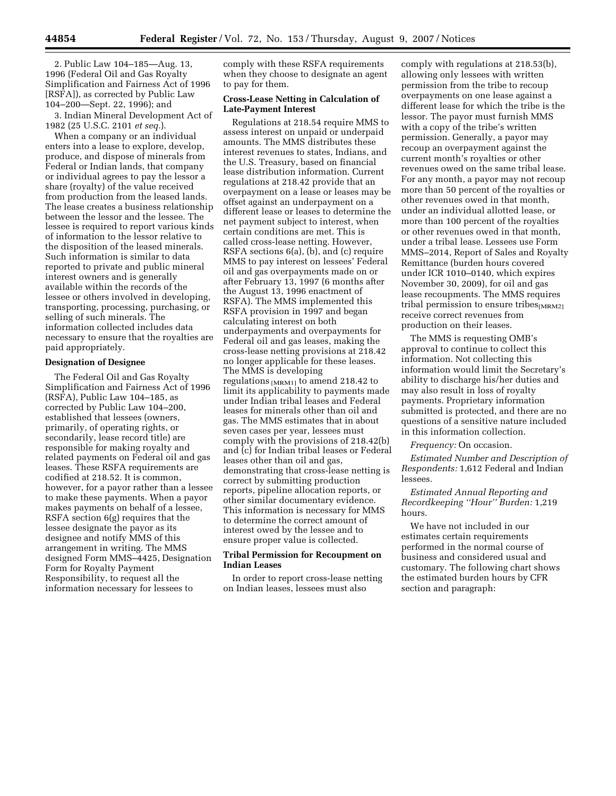2. Public Law 104–185—Aug. 13, 1996 (Federal Oil and Gas Royalty Simplification and Fairness Act of 1996 [RSFA]), as corrected by Public Law 104–200—Sept. 22, 1996); and

3. Indian Mineral Development Act of 1982 (25 U.S.C. 2101 *et seq.*).

When a company or an individual enters into a lease to explore, develop, produce, and dispose of minerals from Federal or Indian lands, that company or individual agrees to pay the lessor a share (royalty) of the value received from production from the leased lands. The lease creates a business relationship between the lessor and the lessee. The lessee is required to report various kinds of information to the lessor relative to the disposition of the leased minerals. Such information is similar to data reported to private and public mineral interest owners and is generally available within the records of the lessee or others involved in developing, transporting, processing, purchasing, or selling of such minerals. The information collected includes data necessary to ensure that the royalties are paid appropriately.

### **Designation of Designee**

The Federal Oil and Gas Royalty Simplification and Fairness Act of 1996 (RSFA), Public Law 104–185, as corrected by Public Law 104–200, established that lessees (owners, primarily, of operating rights, or secondarily, lease record title) are responsible for making royalty and related payments on Federal oil and gas leases. These RSFA requirements are codified at 218.52. It is common, however, for a payor rather than a lessee to make these payments. When a payor makes payments on behalf of a lessee, RSFA section 6(g) requires that the lessee designate the payor as its designee and notify MMS of this arrangement in writing. The MMS designed Form MMS–4425, Designation Form for Royalty Payment Responsibility, to request all the information necessary for lessees to

comply with these RSFA requirements when they choose to designate an agent to pay for them.

## **Cross-Lease Netting in Calculation of Late-Payment Interest**

Regulations at 218.54 require MMS to assess interest on unpaid or underpaid amounts. The MMS distributes these interest revenues to states, Indians, and the U.S. Treasury, based on financial lease distribution information. Current regulations at 218.42 provide that an overpayment on a lease or leases may be offset against an underpayment on a different lease or leases to determine the net payment subject to interest, when certain conditions are met. This is called cross-lease netting. However, RSFA sections 6(a), (b), and (c) require MMS to pay interest on lessees' Federal oil and gas overpayments made on or after February 13, 1997 (6 months after the August 13, 1996 enactment of RSFA). The MMS implemented this RSFA provision in 1997 and began calculating interest on both underpayments and overpayments for Federal oil and gas leases, making the cross-lease netting provisions at 218.42 no longer applicable for these leases. The MMS is developing regulations  $_{[MRM1]}$  to amend 218.42 to limit its applicability to payments made under Indian tribal leases and Federal leases for minerals other than oil and gas. The MMS estimates that in about seven cases per year, lessees must comply with the provisions of 218.42(b) and (c) for Indian tribal leases or Federal leases other than oil and gas, demonstrating that cross-lease netting is correct by submitting production reports, pipeline allocation reports, or other similar documentary evidence. This information is necessary for MMS to determine the correct amount of interest owed by the lessee and to ensure proper value is collected.

## **Tribal Permission for Recoupment on Indian Leases**

In order to report cross-lease netting on Indian leases, lessees must also

comply with regulations at 218.53(b), allowing only lessees with written permission from the tribe to recoup overpayments on one lease against a different lease for which the tribe is the lessor. The payor must furnish MMS with a copy of the tribe's written permission. Generally, a payor may recoup an overpayment against the current month's royalties or other revenues owed on the same tribal lease. For any month, a payor may not recoup more than 50 percent of the royalties or other revenues owed in that month, under an individual allotted lease, or more than 100 percent of the royalties or other revenues owed in that month, under a tribal lease. Lessees use Form MMS–2014, Report of Sales and Royalty Remittance (burden hours covered under ICR 1010–0140, which expires November 30, 2009), for oil and gas lease recoupments. The MMS requires tribal permission to ensure tribes $_{[MRM2]}$ receive correct revenues from production on their leases.

The MMS is requesting OMB's approval to continue to collect this information. Not collecting this information would limit the Secretary's ability to discharge his/her duties and may also result in loss of royalty payments. Proprietary information submitted is protected, and there are no questions of a sensitive nature included in this information collection.

*Frequency:* On occasion.

*Estimated Number and Description of Respondents:* 1,612 Federal and Indian lessees.

*Estimated Annual Reporting and Recordkeeping ''Hour'' Burden:* 1,219 hours.

We have not included in our estimates certain requirements performed in the normal course of business and considered usual and customary. The following chart shows the estimated burden hours by CFR section and paragraph: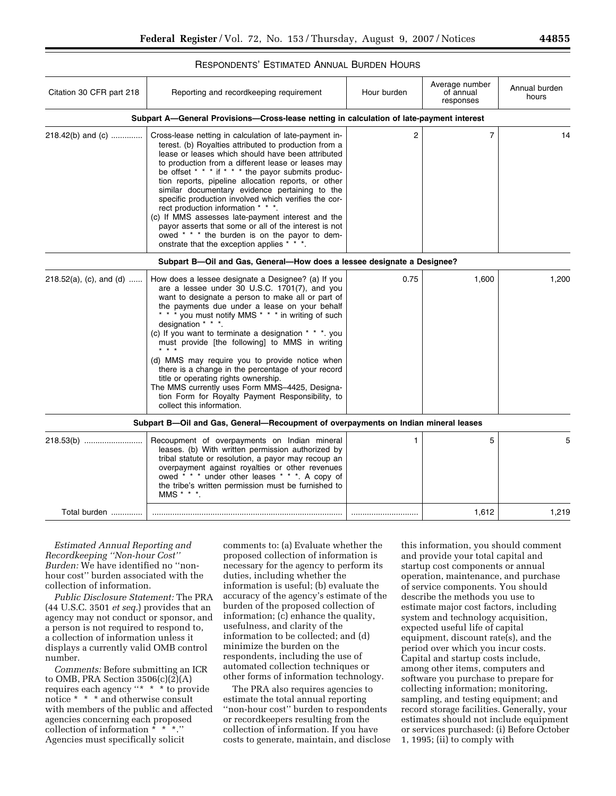## RESPONDENTS' ESTIMATED ANNUAL BURDEN HOURS

| Citation 30 CFR part 218   | Reporting and recordkeeping requirement                                                                                                                                                                                                                                                                                                                                                                                                                                                                                                                                                                                                                                                                    | Hour burden | Average number<br>of annual<br>responses | Annual burden<br>hours |
|----------------------------|------------------------------------------------------------------------------------------------------------------------------------------------------------------------------------------------------------------------------------------------------------------------------------------------------------------------------------------------------------------------------------------------------------------------------------------------------------------------------------------------------------------------------------------------------------------------------------------------------------------------------------------------------------------------------------------------------------|-------------|------------------------------------------|------------------------|
|                            | Subpart A—General Provisions—Cross-lease netting in calculation of late-payment interest                                                                                                                                                                                                                                                                                                                                                                                                                                                                                                                                                                                                                   |             |                                          |                        |
| 218.42(b) and (c)          | Cross-lease netting in calculation of late-payment in-<br>terest. (b) Royalties attributed to production from a<br>lease or leases which should have been attributed<br>to production from a different lease or leases may<br>be offset $* * * if * * * the payor submits product -$<br>tion reports, pipeline allocation reports, or other<br>similar documentary evidence pertaining to the<br>specific production involved which verifies the cor-<br>rect production information * * *.<br>(c) If MMS assesses late-payment interest and the<br>payor asserts that some or all of the interest is not<br>owed $* * *$ the burden is on the payor to dem-<br>onstrate that the exception applies * * *. | 2           | 7                                        | 14                     |
|                            | Subpart B-Oil and Gas, General-How does a lessee designate a Designee?                                                                                                                                                                                                                                                                                                                                                                                                                                                                                                                                                                                                                                     |             |                                          |                        |
| $218.52(a)$ , (c), and (d) | How does a lessee designate a Designee? (a) If you<br>are a lessee under 30 U.S.C. 1701(7), and you<br>want to designate a person to make all or part of<br>the payments due under a lease on your behalf<br>* * * you must notify MMS * * * in writing of such<br>designation * * *.<br>(c) If you want to terminate a designation $* * *$ you<br>must provide [the following] to MMS in writing<br>$* * *$<br>(d) MMS may require you to provide notice when<br>there is a change in the percentage of your record<br>title or operating rights ownership.<br>The MMS currently uses Form MMS-4425, Designa-<br>tion Form for Royalty Payment Responsibility, to<br>collect this information.            | 0.75        | 1,600                                    | 1,200                  |
|                            | Subpart B-Oil and Gas, General-Recoupment of overpayments on Indian mineral leases                                                                                                                                                                                                                                                                                                                                                                                                                                                                                                                                                                                                                         |             |                                          |                        |
| 218.53(b)                  | Recoupment of overpayments on Indian mineral<br>leases. (b) With written permission authorized by<br>tribal statute or resolution, a payor may recoup an<br>overpayment against royalties or other revenues<br>owed * * * under other leases * * *. A copy of<br>the tribe's written permission must be furnished to<br>MMS $* * *$ .                                                                                                                                                                                                                                                                                                                                                                      | 1           | 5                                        | 5                      |
| Total burden               |                                                                                                                                                                                                                                                                                                                                                                                                                                                                                                                                                                                                                                                                                                            |             | 1,612                                    | 1,219                  |

*Estimated Annual Reporting and Recordkeeping ''Non-hour Cost'' Burden:* We have identified no ''nonhour cost'' burden associated with the collection of information.

*Public Disclosure Statement:* The PRA (44 U.S.C. 3501 *et seq.*) provides that an agency may not conduct or sponsor, and a person is not required to respond to, a collection of information unless it displays a currently valid OMB control number.

*Comments:* Before submitting an ICR to OMB, PRA Section  $3506(c)(2)(A)$ requires each agency ''\* \* \* to provide notice \* \* \* and otherwise consult with members of the public and affected agencies concerning each proposed collection of information \* \* \*.'' Agencies must specifically solicit

comments to: (a) Evaluate whether the proposed collection of information is necessary for the agency to perform its duties, including whether the information is useful; (b) evaluate the accuracy of the agency's estimate of the burden of the proposed collection of information; (c) enhance the quality, usefulness, and clarity of the information to be collected; and (d) minimize the burden on the respondents, including the use of automated collection techniques or other forms of information technology.

The PRA also requires agencies to estimate the total annual reporting ''non-hour cost'' burden to respondents or recordkeepers resulting from the collection of information. If you have costs to generate, maintain, and disclose

this information, you should comment and provide your total capital and startup cost components or annual operation, maintenance, and purchase of service components. You should describe the methods you use to estimate major cost factors, including system and technology acquisition, expected useful life of capital equipment, discount rate(s), and the period over which you incur costs. Capital and startup costs include, among other items, computers and software you purchase to prepare for collecting information; monitoring, sampling, and testing equipment; and record storage facilities. Generally, your estimates should not include equipment or services purchased: (i) Before October 1, 1995; (ii) to comply with